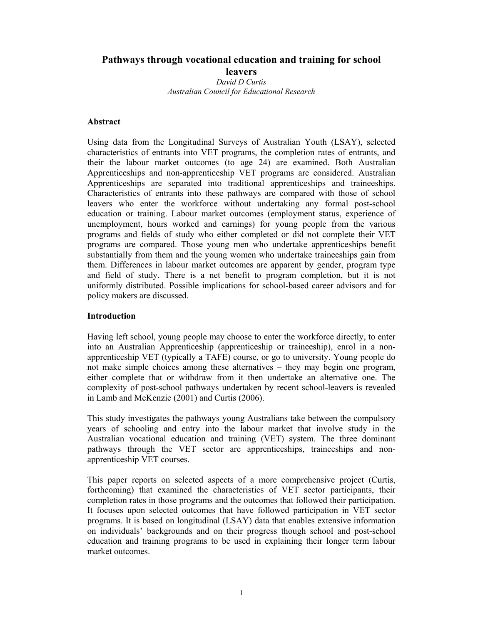# **Pathways through vocational education and training for school leavers**

*David D Curtis Australian Council for Educational Research* 

## **Abstract**

Using data from the Longitudinal Surveys of Australian Youth (LSAY), selected characteristics of entrants into VET programs, the completion rates of entrants, and their the labour market outcomes (to age 24) are examined. Both Australian Apprenticeships and non-apprenticeship VET programs are considered. Australian Apprenticeships are separated into traditional apprenticeships and traineeships. Characteristics of entrants into these pathways are compared with those of school leavers who enter the workforce without undertaking any formal post-school education or training. Labour market outcomes (employment status, experience of unemployment, hours worked and earnings) for young people from the various programs and fields of study who either completed or did not complete their VET programs are compared. Those young men who undertake apprenticeships benefit substantially from them and the young women who undertake traineeships gain from them. Differences in labour market outcomes are apparent by gender, program type and field of study. There is a net benefit to program completion, but it is not uniformly distributed. Possible implications for school-based career advisors and for policy makers are discussed.

### **Introduction**

Having left school, young people may choose to enter the workforce directly, to enter into an Australian Apprenticeship (apprenticeship or traineeship), enrol in a nonapprenticeship VET (typically a TAFE) course, or go to university. Young people do not make simple choices among these alternatives – they may begin one program, either complete that or withdraw from it then undertake an alternative one. The complexity of post-school pathways undertaken by recent school-leavers is revealed in Lamb and McKenzie (2001) and Curtis (2006).

This study investigates the pathways young Australians take between the compulsory years of schooling and entry into the labour market that involve study in the Australian vocational education and training (VET) system. The three dominant pathways through the VET sector are apprenticeships, traineeships and nonapprenticeship VET courses.

This paper reports on selected aspects of a more comprehensive project (Curtis, forthcoming) that examined the characteristics of VET sector participants, their completion rates in those programs and the outcomes that followed their participation. It focuses upon selected outcomes that have followed participation in VET sector programs. It is based on longitudinal (LSAY) data that enables extensive information on individuals' backgrounds and on their progress though school and post-school education and training programs to be used in explaining their longer term labour market outcomes.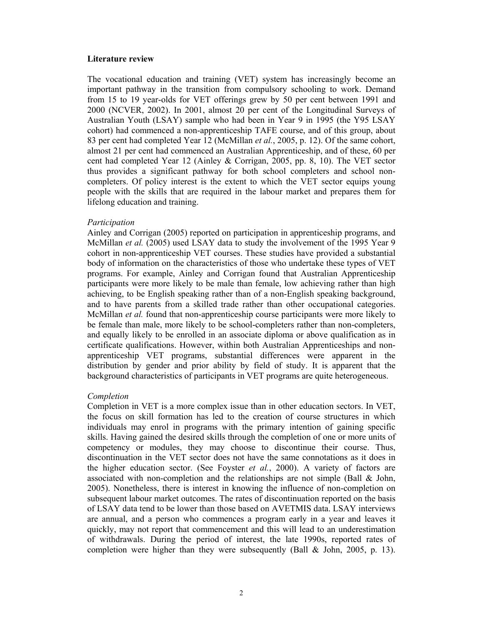#### **Literature review**

The vocational education and training (VET) system has increasingly become an important pathway in the transition from compulsory schooling to work. Demand from 15 to 19 year-olds for VET offerings grew by 50 per cent between 1991 and 2000 (NCVER, 2002). In 2001, almost 20 per cent of the Longitudinal Surveys of Australian Youth (LSAY) sample who had been in Year 9 in 1995 (the Y95 LSAY cohort) had commenced a non-apprenticeship TAFE course, and of this group, about 83 per cent had completed Year 12 (McMillan *et al.*, 2005, p. 12). Of the same cohort, almost 21 per cent had commenced an Australian Apprenticeship, and of these, 60 per cent had completed Year 12 (Ainley & Corrigan, 2005, pp. 8, 10). The VET sector thus provides a significant pathway for both school completers and school noncompleters. Of policy interest is the extent to which the VET sector equips young people with the skills that are required in the labour market and prepares them for lifelong education and training.

#### *Participation*

Ainley and Corrigan (2005) reported on participation in apprenticeship programs, and McMillan *et al.* (2005) used LSAY data to study the involvement of the 1995 Year 9 cohort in non-apprenticeship VET courses. These studies have provided a substantial body of information on the characteristics of those who undertake these types of VET programs. For example, Ainley and Corrigan found that Australian Apprenticeship participants were more likely to be male than female, low achieving rather than high achieving, to be English speaking rather than of a non-English speaking background, and to have parents from a skilled trade rather than other occupational categories. McMillan *et al.* found that non-apprenticeship course participants were more likely to be female than male, more likely to be school-completers rather than non-completers, and equally likely to be enrolled in an associate diploma or above qualification as in certificate qualifications. However, within both Australian Apprenticeships and nonapprenticeship VET programs, substantial differences were apparent in the distribution by gender and prior ability by field of study. It is apparent that the background characteristics of participants in VET programs are quite heterogeneous.

### *Completion*

Completion in VET is a more complex issue than in other education sectors. In VET, the focus on skill formation has led to the creation of course structures in which individuals may enrol in programs with the primary intention of gaining specific skills. Having gained the desired skills through the completion of one or more units of competency or modules, they may choose to discontinue their course. Thus, discontinuation in the VET sector does not have the same connotations as it does in the higher education sector. (See Foyster *et al.*, 2000). A variety of factors are associated with non-completion and the relationships are not simple (Ball & John, 2005). Nonetheless, there is interest in knowing the influence of non-completion on subsequent labour market outcomes. The rates of discontinuation reported on the basis of LSAY data tend to be lower than those based on AVETMIS data. LSAY interviews are annual, and a person who commences a program early in a year and leaves it quickly, may not report that commencement and this will lead to an underestimation of withdrawals. During the period of interest, the late 1990s, reported rates of completion were higher than they were subsequently (Ball  $& John, 2005, p. 13$ ).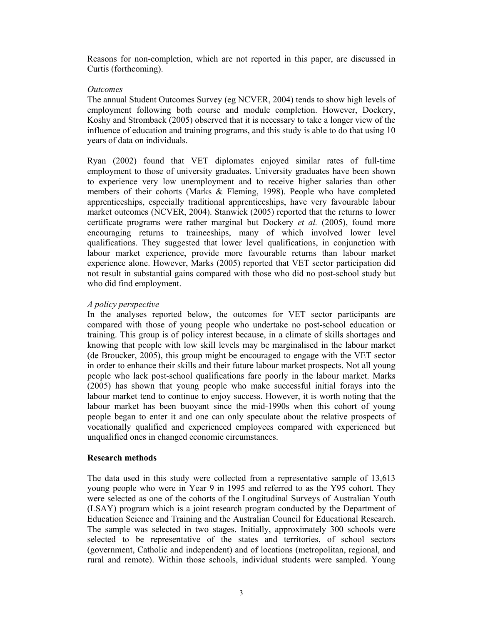Reasons for non-completion, which are not reported in this paper, are discussed in Curtis (forthcoming).

## *Outcomes*

The annual Student Outcomes Survey (eg NCVER, 2004) tends to show high levels of employment following both course and module completion. However, Dockery, Koshy and Stromback (2005) observed that it is necessary to take a longer view of the influence of education and training programs, and this study is able to do that using 10 years of data on individuals.

Ryan (2002) found that VET diplomates enjoyed similar rates of full-time employment to those of university graduates. University graduates have been shown to experience very low unemployment and to receive higher salaries than other members of their cohorts (Marks & Fleming, 1998). People who have completed apprenticeships, especially traditional apprenticeships, have very favourable labour market outcomes (NCVER, 2004). Stanwick (2005) reported that the returns to lower certificate programs were rather marginal but Dockery *et al.* (2005), found more encouraging returns to traineeships, many of which involved lower level qualifications. They suggested that lower level qualifications, in conjunction with labour market experience, provide more favourable returns than labour market experience alone. However, Marks (2005) reported that VET sector participation did not result in substantial gains compared with those who did no post-school study but who did find employment.

## *A policy perspective*

In the analyses reported below, the outcomes for VET sector participants are compared with those of young people who undertake no post-school education or training. This group is of policy interest because, in a climate of skills shortages and knowing that people with low skill levels may be marginalised in the labour market (de Broucker, 2005), this group might be encouraged to engage with the VET sector in order to enhance their skills and their future labour market prospects. Not all young people who lack post-school qualifications fare poorly in the labour market. Marks (2005) has shown that young people who make successful initial forays into the labour market tend to continue to enjoy success. However, it is worth noting that the labour market has been buoyant since the mid-1990s when this cohort of young people began to enter it and one can only speculate about the relative prospects of vocationally qualified and experienced employees compared with experienced but unqualified ones in changed economic circumstances.

## **Research methods**

The data used in this study were collected from a representative sample of 13,613 young people who were in Year 9 in 1995 and referred to as the Y95 cohort. They were selected as one of the cohorts of the Longitudinal Surveys of Australian Youth (LSAY) program which is a joint research program conducted by the Department of Education Science and Training and the Australian Council for Educational Research. The sample was selected in two stages. Initially, approximately 300 schools were selected to be representative of the states and territories, of school sectors (government, Catholic and independent) and of locations (metropolitan, regional, and rural and remote). Within those schools, individual students were sampled. Young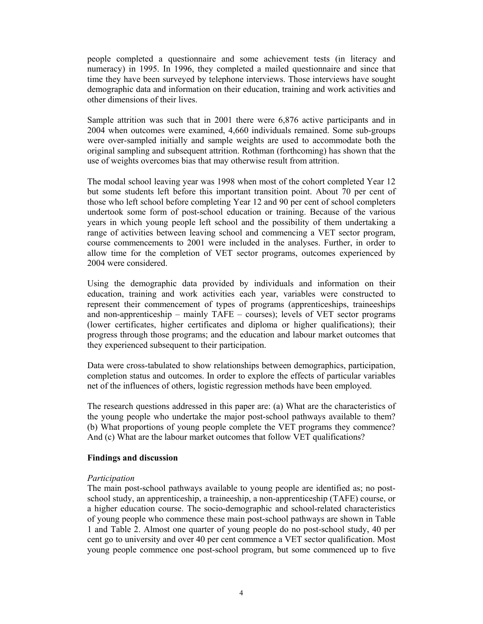people completed a questionnaire and some achievement tests (in literacy and numeracy) in 1995. In 1996, they completed a mailed questionnaire and since that time they have been surveyed by telephone interviews. Those interviews have sought demographic data and information on their education, training and work activities and other dimensions of their lives.

Sample attrition was such that in 2001 there were 6,876 active participants and in 2004 when outcomes were examined, 4,660 individuals remained. Some sub-groups were over-sampled initially and sample weights are used to accommodate both the original sampling and subsequent attrition. Rothman (forthcoming) has shown that the use of weights overcomes bias that may otherwise result from attrition.

The modal school leaving year was 1998 when most of the cohort completed Year 12 but some students left before this important transition point. About 70 per cent of those who left school before completing Year 12 and 90 per cent of school completers undertook some form of post-school education or training. Because of the various years in which young people left school and the possibility of them undertaking a range of activities between leaving school and commencing a VET sector program, course commencements to 2001 were included in the analyses. Further, in order to allow time for the completion of VET sector programs, outcomes experienced by 2004 were considered.

Using the demographic data provided by individuals and information on their education, training and work activities each year, variables were constructed to represent their commencement of types of programs (apprenticeships, traineeships and non-apprenticeship – mainly TAFE – courses); levels of VET sector programs (lower certificates, higher certificates and diploma or higher qualifications); their progress through those programs; and the education and labour market outcomes that they experienced subsequent to their participation.

Data were cross-tabulated to show relationships between demographics, participation, completion status and outcomes. In order to explore the effects of particular variables net of the influences of others, logistic regression methods have been employed.

The research questions addressed in this paper are: (a) What are the characteristics of the young people who undertake the major post-school pathways available to them? (b) What proportions of young people complete the VET programs they commence? And (c) What are the labour market outcomes that follow VET qualifications?

## **Findings and discussion**

## *Participation*

The main post-school pathways available to young people are identified as; no postschool study, an apprenticeship, a traineeship, a non-apprenticeship (TAFE) course, or a higher education course. The socio-demographic and school-related characteristics of young people who commence these main post-school pathways are shown in Table 1 and Table 2. Almost one quarter of young people do no post-school study, 40 per cent go to university and over 40 per cent commence a VET sector qualification. Most young people commence one post-school program, but some commenced up to five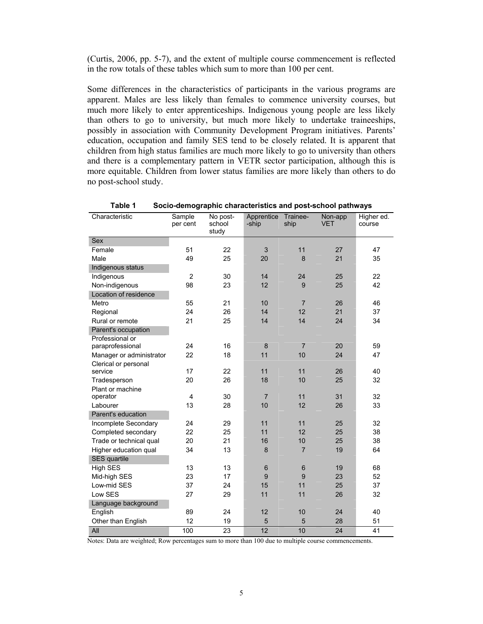(Curtis, 2006, pp. 5-7), and the extent of multiple course commencement is reflected in the row totals of these tables which sum to more than 100 per cent.

Some differences in the characteristics of participants in the various programs are apparent. Males are less likely than females to commence university courses, but much more likely to enter apprenticeships. Indigenous young people are less likely than others to go to university, but much more likely to undertake traineeships, possibly in association with Community Development Program initiatives. Parents' education, occupation and family SES tend to be closely related. It is apparent that children from high status families are much more likely to go to university than others and there is a complementary pattern in VETR sector participation, although this is more equitable. Children from lower status families are more likely than others to do no post-school study.

| Characteristic           | Sample<br>per cent | No post-<br>school<br>study | Apprentice<br>-ship | Trainee-<br>ship | Non-app<br><b>VET</b> | Higher ed.<br>course |
|--------------------------|--------------------|-----------------------------|---------------------|------------------|-----------------------|----------------------|
| Sex                      |                    |                             |                     |                  |                       |                      |
| Female                   | 51                 | 22                          | 3                   | 11               | 27                    | 47                   |
| Male                     | 49                 | 25                          | 20                  | 8                | 21                    | 35                   |
| Indigenous status        |                    |                             |                     |                  |                       |                      |
| Indigenous               | $\overline{c}$     | 30                          | 14                  | 24               | 25                    | 22                   |
| Non-indigenous           | 98                 | 23                          | 12                  | 9                | 25                    | 42                   |
| Location of residence    |                    |                             |                     |                  |                       |                      |
| Metro                    | 55                 | 21                          | 10                  | $\overline{7}$   | 26                    | 46                   |
| Regional                 | 24                 | 26                          | 14                  | 12               | 21                    | 37                   |
| Rural or remote          | 21                 | 25                          | 14                  | 14               | 24                    | 34                   |
| Parent's occupation      |                    |                             |                     |                  |                       |                      |
| Professional or          |                    |                             |                     |                  |                       |                      |
| paraprofessional         | 24                 | 16                          | 8                   | $\overline{7}$   | 20                    | 59                   |
| Manager or administrator | 22                 | 18                          | 11                  | 10               | 24                    | 47                   |
| Clerical or personal     |                    |                             |                     |                  |                       |                      |
| service                  | 17                 | 22                          | 11                  | 11               | 26                    | 40                   |
| Tradesperson             | 20                 | 26                          | 18                  | 10               | 25                    | 32                   |
| Plant or machine         |                    |                             |                     |                  |                       |                      |
| operator                 | $\overline{4}$     | 30                          | $\overline{7}$      | 11               | 31                    | 32                   |
| Labourer                 | 13                 | 28                          | 10                  | 12               | 26                    | 33                   |
| Parent's education       |                    |                             |                     |                  |                       |                      |
| Incomplete Secondary     | 24                 | 29                          | 11                  | 11               | 25                    | 32                   |
| Completed secondary      | 22                 | 25                          | 11                  | 12               | 25                    | 38                   |
| Trade or technical qual  | 20                 | 21                          | 16                  | 10               | 25                    | 38                   |
| Higher education qual    | 34                 | 13                          | 8                   | $\overline{7}$   | 19                    | 64                   |
| <b>SES</b> quartile      |                    |                             |                     |                  |                       |                      |
| <b>High SES</b>          | 13                 | 13                          | $6\phantom{1}6$     | $6\phantom{1}6$  | 19                    | 68                   |
| Mid-high SES             | 23                 | 17                          | 9                   | 9                | 23                    | 52                   |
| Low-mid SES              | 37                 | 24                          | 15                  | 11               | 25                    | 37                   |
| Low SES                  | 27                 | 29                          | 11                  | 11               | 26                    | 32                   |
| Language background      |                    |                             |                     |                  |                       |                      |
| English                  | 89                 | 24                          | 12                  | 10               | 24                    | 40                   |
| Other than English       | 12                 | 19                          | 5                   | 5                | 28                    | 51                   |
| All                      | 100                | $\overline{23}$             | $\overline{12}$     | 10               | 24                    | 41                   |

**Table 1 Socio-demographic characteristics and post-school pathways** 

Notes: Data are weighted; Row percentages sum to more than 100 due to multiple course commencements.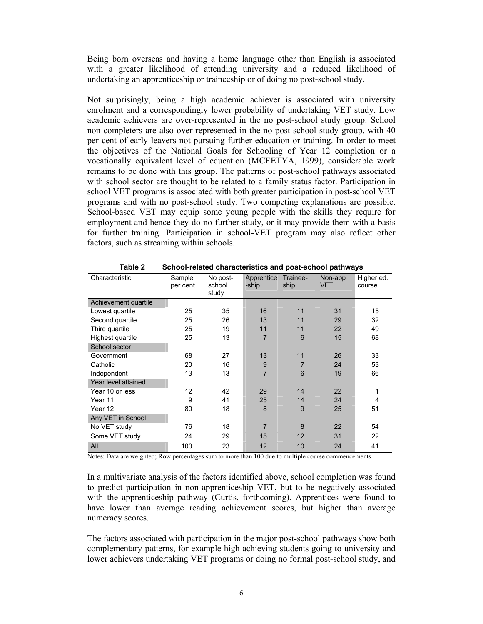Being born overseas and having a home language other than English is associated with a greater likelihood of attending university and a reduced likelihood of undertaking an apprenticeship or traineeship or of doing no post-school study.

Not surprisingly, being a high academic achiever is associated with university enrolment and a correspondingly lower probability of undertaking VET study. Low academic achievers are over-represented in the no post-school study group. School non-completers are also over-represented in the no post-school study group, with 40 per cent of early leavers not pursuing further education or training. In order to meet the objectives of the National Goals for Schooling of Year 12 completion or a vocationally equivalent level of education (MCEETYA, 1999), considerable work remains to be done with this group. The patterns of post-school pathways associated with school sector are thought to be related to a family status factor. Participation in school VET programs is associated with both greater participation in post-school VET programs and with no post-school study. Two competing explanations are possible. School-based VET may equip some young people with the skills they require for employment and hence they do no further study, or it may provide them with a basis for further training. Participation in school-VET program may also reflect other factors, such as streaming within schools.

| Characteristic       | Sample<br>No post-<br>school<br>per cent<br>study |    | Apprentice<br>-ship | Trainee-<br>ship | Non-app<br><b>VET</b> | Higher ed.<br>course |
|----------------------|---------------------------------------------------|----|---------------------|------------------|-----------------------|----------------------|
| Achievement quartile |                                                   |    |                     |                  |                       |                      |
| Lowest quartile      | 25                                                | 35 | 16                  | 11               | 31                    | 15                   |
| Second quartile      | 25                                                | 26 | 13                  | 11               | 29                    | 32                   |
| Third quartile       | 25                                                | 19 | 11                  | 11               | 22                    | 49                   |
| Highest quartile     | 25                                                | 13 | $\overline{7}$      | $6\phantom{1}6$  | 15                    | 68                   |
| School sector        |                                                   |    |                     |                  |                       |                      |
| Government           | 68                                                | 27 | 13                  | 11               | 26                    | 33                   |
| Catholic             | 20                                                | 16 | 9                   | $\overline{7}$   | 24                    | 53                   |
| Independent          | 13                                                | 13 | $\overline{7}$      | 6                | 19                    | 66                   |
| Year level attained  |                                                   |    |                     |                  |                       |                      |
| Year 10 or less      | 12                                                | 42 | 29                  | 14               | 22                    | 1                    |
| Year 11              | 9                                                 | 41 | 25                  | 14               | 24                    | 4                    |
| Year 12              | 80                                                | 18 | 8                   | 9                | 25                    | 51                   |
| Any VET in School    |                                                   |    |                     |                  |                       |                      |
| No VET study         | 76                                                | 18 | 7                   | 8                | 22                    | 54                   |
| Some VET study       | 24                                                | 29 | 15                  | 12               | 31                    | 22                   |
| All                  | 100                                               | 23 | 12                  | 10               | 24                    | 41                   |

**Table 2 School-related characteristics and post-school pathways** 

Notes: Data are weighted; Row percentages sum to more than 100 due to multiple course commencements.

In a multivariate analysis of the factors identified above, school completion was found to predict participation in non-apprenticeship VET, but to be negatively associated with the apprenticeship pathway (Curtis, forthcoming). Apprentices were found to have lower than average reading achievement scores, but higher than average numeracy scores.

The factors associated with participation in the major post-school pathways show both complementary patterns, for example high achieving students going to university and lower achievers undertaking VET programs or doing no formal post-school study, and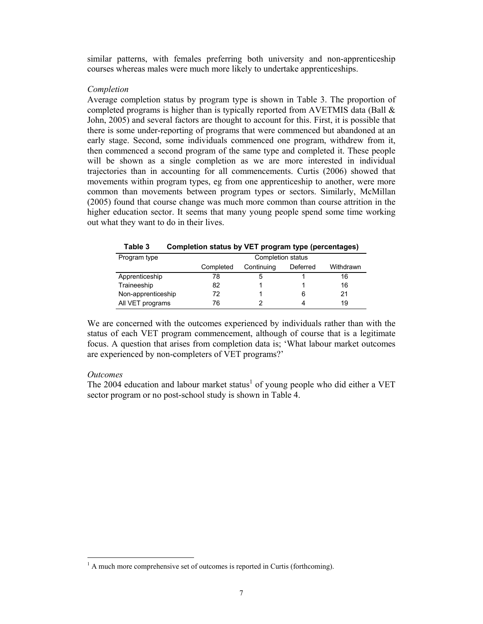similar patterns, with females preferring both university and non-apprenticeship courses whereas males were much more likely to undertake apprenticeships.

### *Completion*

Average completion status by program type is shown in Table 3. The proportion of completed programs is higher than is typically reported from AVETMIS data (Ball  $\&$ John, 2005) and several factors are thought to account for this. First, it is possible that there is some under-reporting of programs that were commenced but abandoned at an early stage. Second, some individuals commenced one program, withdrew from it, then commenced a second program of the same type and completed it. These people will be shown as a single completion as we are more interested in individual trajectories than in accounting for all commencements. Curtis (2006) showed that movements within program types, eg from one apprenticeship to another, were more common than movements between program types or sectors. Similarly, McMillan (2005) found that course change was much more common than course attrition in the higher education sector. It seems that many young people spend some time working out what they want to do in their lives.

| ט טושוו            | oompiction status by TET program type (percentages) |                   |          |           |  |  |  |
|--------------------|-----------------------------------------------------|-------------------|----------|-----------|--|--|--|
| Program type       |                                                     | Completion status |          |           |  |  |  |
|                    | Completed                                           | Continuing        | Deferred | Withdrawn |  |  |  |
| Apprenticeship     | 78                                                  |                   |          | 16        |  |  |  |
| Traineeship        | 82                                                  |                   |          | 16        |  |  |  |
| Non-apprenticeship | 72                                                  |                   | 6        | 21        |  |  |  |
| All VET programs   | 76                                                  |                   |          | 19        |  |  |  |

**Table 3 Completion status by VET program type (percentages)** 

We are concerned with the outcomes experienced by individuals rather than with the status of each VET program commencement, although of course that is a legitimate focus. A question that arises from completion data is; 'What labour market outcomes are experienced by non-completers of VET programs?'

## *Outcomes*

l

The 2004 education and labour market status<sup>1</sup> of young people who did either a VET sector program or no post-school study is shown in Table 4.

 $<sup>1</sup>$  A much more comprehensive set of outcomes is reported in Curtis (forthcoming).</sup>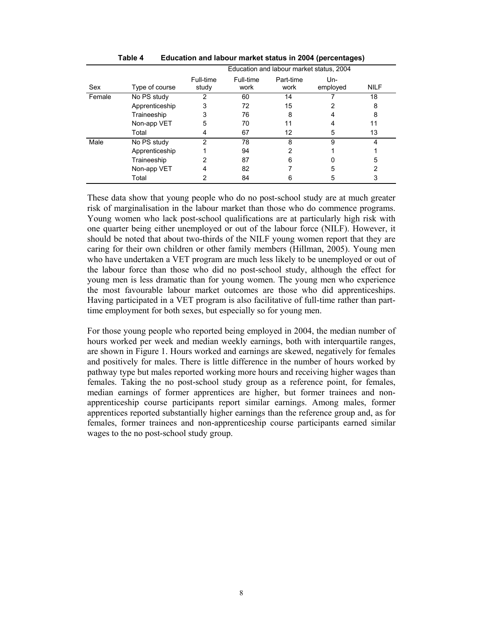|        |                | Education and labour market status, 2004 |                   |                   |                   |             |
|--------|----------------|------------------------------------------|-------------------|-------------------|-------------------|-------------|
| Sex    | Type of course | Full-time<br>study                       | Full-time<br>work | Part-time<br>work | $Un-$<br>employed | <b>NILF</b> |
| Female | No PS study    |                                          | 60                | 14                |                   | 18          |
|        | Apprenticeship | 3                                        | 72                | 15                | 2                 | 8           |
|        | Traineeship    | 3                                        | 76                | 8                 | 4                 | 8           |
|        | Non-app VET    | 5                                        | 70                |                   |                   | 11          |
|        | Total          | 4                                        | 67                | 12                | 5                 | 13          |
| Male   | No PS study    | 2                                        | 78                | 8                 | 9                 | 4           |
|        | Apprenticeship |                                          | 94                |                   |                   |             |
|        | Traineeship    |                                          | 87                | 6                 |                   | 5           |
|        | Non-app VET    |                                          | 82                |                   | 5                 | 2           |
|        | Total          |                                          | 84                |                   | 5                 | 3           |

**Table 4 Education and labour market status in 2004 (percentages)** 

These data show that young people who do no post-school study are at much greater risk of marginalisation in the labour market than those who do commence programs. Young women who lack post-school qualifications are at particularly high risk with one quarter being either unemployed or out of the labour force (NILF). However, it should be noted that about two-thirds of the NILF young women report that they are caring for their own children or other family members (Hillman, 2005). Young men who have undertaken a VET program are much less likely to be unemployed or out of the labour force than those who did no post-school study, although the effect for young men is less dramatic than for young women. The young men who experience the most favourable labour market outcomes are those who did apprenticeships. Having participated in a VET program is also facilitative of full-time rather than parttime employment for both sexes, but especially so for young men.

For those young people who reported being employed in 2004, the median number of hours worked per week and median weekly earnings, both with interquartile ranges, are shown in Figure 1. Hours worked and earnings are skewed, negatively for females and positively for males. There is little difference in the number of hours worked by pathway type but males reported working more hours and receiving higher wages than females. Taking the no post-school study group as a reference point, for females, median earnings of former apprentices are higher, but former trainees and nonapprenticeship course participants report similar earnings. Among males, former apprentices reported substantially higher earnings than the reference group and, as for females, former trainees and non-apprenticeship course participants earned similar wages to the no post-school study group.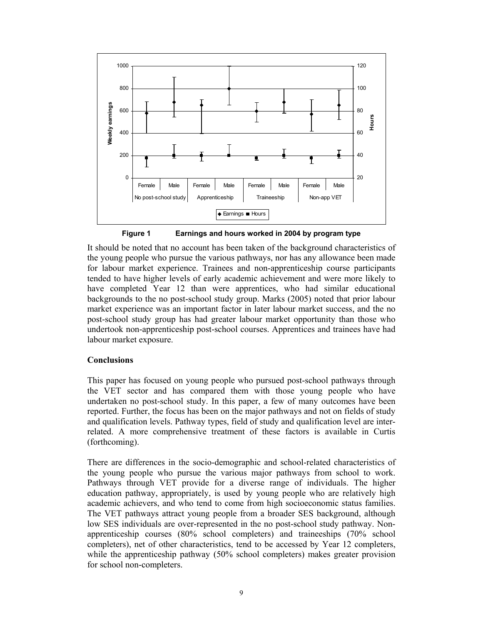

**Figure 1 Earnings and hours worked in 2004 by program type** 

It should be noted that no account has been taken of the background characteristics of the young people who pursue the various pathways, nor has any allowance been made for labour market experience. Trainees and non-apprenticeship course participants tended to have higher levels of early academic achievement and were more likely to have completed Year 12 than were apprentices, who had similar educational backgrounds to the no post-school study group. Marks (2005) noted that prior labour market experience was an important factor in later labour market success, and the no post-school study group has had greater labour market opportunity than those who undertook non-apprenticeship post-school courses. Apprentices and trainees have had labour market exposure.

## **Conclusions**

This paper has focused on young people who pursued post-school pathways through the VET sector and has compared them with those young people who have undertaken no post-school study. In this paper, a few of many outcomes have been reported. Further, the focus has been on the major pathways and not on fields of study and qualification levels. Pathway types, field of study and qualification level are interrelated. A more comprehensive treatment of these factors is available in Curtis (forthcoming).

There are differences in the socio-demographic and school-related characteristics of the young people who pursue the various major pathways from school to work. Pathways through VET provide for a diverse range of individuals. The higher education pathway, appropriately, is used by young people who are relatively high academic achievers, and who tend to come from high socioeconomic status families. The VET pathways attract young people from a broader SES background, although low SES individuals are over-represented in the no post-school study pathway. Nonapprenticeship courses (80% school completers) and traineeships (70% school completers), net of other characteristics, tend to be accessed by Year 12 completers, while the apprenticeship pathway (50% school completers) makes greater provision for school non-completers.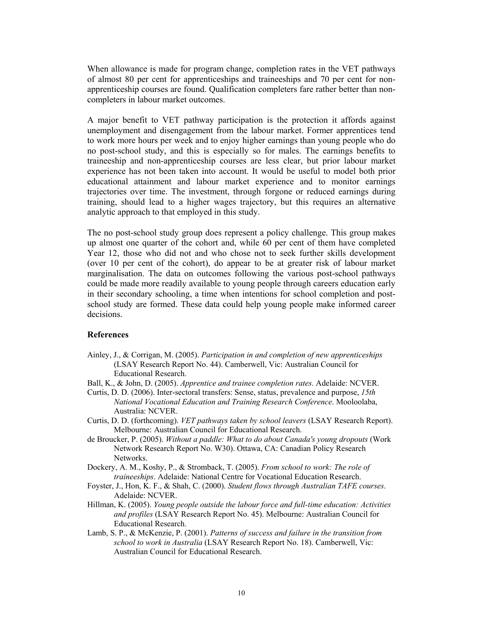When allowance is made for program change, completion rates in the VET pathways of almost 80 per cent for apprenticeships and traineeships and 70 per cent for nonapprenticeship courses are found. Qualification completers fare rather better than noncompleters in labour market outcomes.

A major benefit to VET pathway participation is the protection it affords against unemployment and disengagement from the labour market. Former apprentices tend to work more hours per week and to enjoy higher earnings than young people who do no post-school study, and this is especially so for males. The earnings benefits to traineeship and non-apprenticeship courses are less clear, but prior labour market experience has not been taken into account. It would be useful to model both prior educational attainment and labour market experience and to monitor earnings trajectories over time. The investment, through forgone or reduced earnings during training, should lead to a higher wages trajectory, but this requires an alternative analytic approach to that employed in this study.

The no post-school study group does represent a policy challenge. This group makes up almost one quarter of the cohort and, while 60 per cent of them have completed Year 12, those who did not and who chose not to seek further skills development (over 10 per cent of the cohort), do appear to be at greater risk of labour market marginalisation. The data on outcomes following the various post-school pathways could be made more readily available to young people through careers education early in their secondary schooling, a time when intentions for school completion and postschool study are formed. These data could help young people make informed career decisions.

### **References**

- Ainley, J., & Corrigan, M. (2005). *Participation in and completion of new apprenticeships* (LSAY Research Report No. 44). Camberwell, Vic: Australian Council for Educational Research.
- Ball, K., & John, D. (2005). *Apprentice and trainee completion rates*. Adelaide: NCVER.
- Curtis, D. D. (2006). Inter-sectoral transfers: Sense, status, prevalence and purpose, *15th National Vocational Education and Training Research Conference*. Mooloolaba, Australia: NCVER.
- Curtis, D. D. (forthcoming). *VET pathways taken by school leavers* (LSAY Research Report). Melbourne: Australian Council for Educational Research.
- de Broucker, P. (2005). *Without a paddle: What to do about Canada's young dropouts* (Work Network Research Report No. W30). Ottawa, CA: Canadian Policy Research Networks.
- Dockery, A. M., Koshy, P., & Stromback, T. (2005). *From school to work: The role of traineeships*. Adelaide: National Centre for Vocational Education Research.
- Foyster, J., Hon, K. F., & Shah, C. (2000). *Student flows through Australian TAFE courses*. Adelaide: NCVER.
- Hillman, K. (2005). *Young people outside the labour force and full-time education: Activities and profiles* (LSAY Research Report No. 45). Melbourne: Australian Council for Educational Research.
- Lamb, S. P., & McKenzie, P. (2001). *Patterns of success and failure in the transition from school to work in Australia* (LSAY Research Report No. 18). Camberwell, Vic: Australian Council for Educational Research.